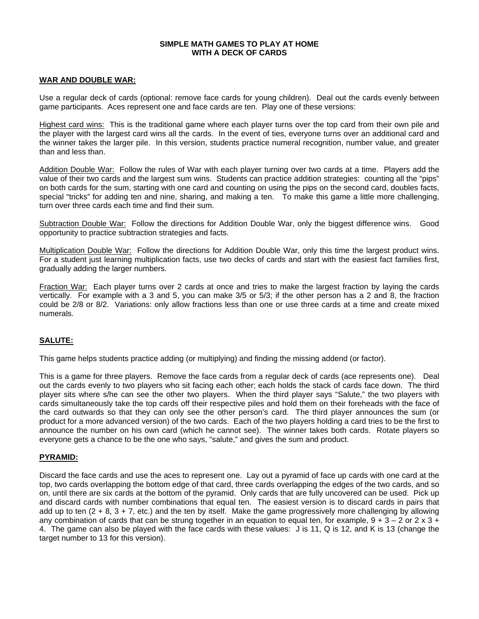#### **SIMPLE MATH GAMES TO PLAY AT HOME WITH A DECK OF CARDS**

## **WAR AND DOUBLE WAR:**

Use a regular deck of cards (optional: remove face cards for young children). Deal out the cards evenly between game participants. Aces represent one and face cards are ten. Play one of these versions:

Highest card wins: This is the traditional game where each player turns over the top card from their own pile and the player with the largest card wins all the cards. In the event of ties, everyone turns over an additional card and the winner takes the larger pile. In this version, students practice numeral recognition, number value, and greater than and less than.

Addition Double War: Follow the rules of War with each player turning over two cards at a time. Players add the value of their two cards and the largest sum wins. Students can practice addition strategies: counting all the "pips" on both cards for the sum, starting with one card and counting on using the pips on the second card, doubles facts, special "tricks" for adding ten and nine, sharing, and making a ten. To make this game a little more challenging, turn over three cards each time and find their sum.

Subtraction Double War: Follow the directions for Addition Double War, only the biggest difference wins. Good opportunity to practice subtraction strategies and facts.

Multiplication Double War: Follow the directions for Addition Double War, only this time the largest product wins. For a student just learning multiplication facts, use two decks of cards and start with the easiest fact families first, gradually adding the larger numbers.

Fraction War: Each player turns over 2 cards at once and tries to make the largest fraction by laying the cards vertically. For example with a 3 and 5, you can make 3/5 or 5/3; if the other person has a 2 and 8, the fraction could be 2/8 or 8/2. Variations: only allow fractions less than one or use three cards at a time and create mixed numerals.

# **SALUTE:**

This game helps students practice adding (or multiplying) and finding the missing addend (or factor).

This is a game for three players. Remove the face cards from a regular deck of cards (ace represents one). Deal out the cards evenly to two players who sit facing each other; each holds the stack of cards face down. The third player sits where s/he can see the other two players. When the third player says "Salute," the two players with cards simultaneously take the top cards off their respective piles and hold them on their foreheads with the face of the card outwards so that they can only see the other person's card. The third player announces the sum (or product for a more advanced version) of the two cards. Each of the two players holding a card tries to be the first to announce the number on his own card (which he cannot see). The winner takes both cards. Rotate players so everyone gets a chance to be the one who says, "salute," and gives the sum and product.

## **PYRAMID:**

Discard the face cards and use the aces to represent one. Lay out a pyramid of face up cards with one card at the top, two cards overlapping the bottom edge of that card, three cards overlapping the edges of the two cards, and so on, until there are six cards at the bottom of the pyramid. Only cards that are fully uncovered can be used. Pick up and discard cards with number combinations that equal ten. The easiest version is to discard cards in pairs that add up to ten  $(2 + 8, 3 + 7,$  etc.) and the ten by itself. Make the game progressively more challenging by allowing any combination of cards that can be strung together in an equation to equal ten, for example,  $9 + 3 - 2$  or  $2 \times 3 +$ 4. The game can also be played with the face cards with these values: J is 11, Q is 12, and K is 13 (change the target number to 13 for this version).